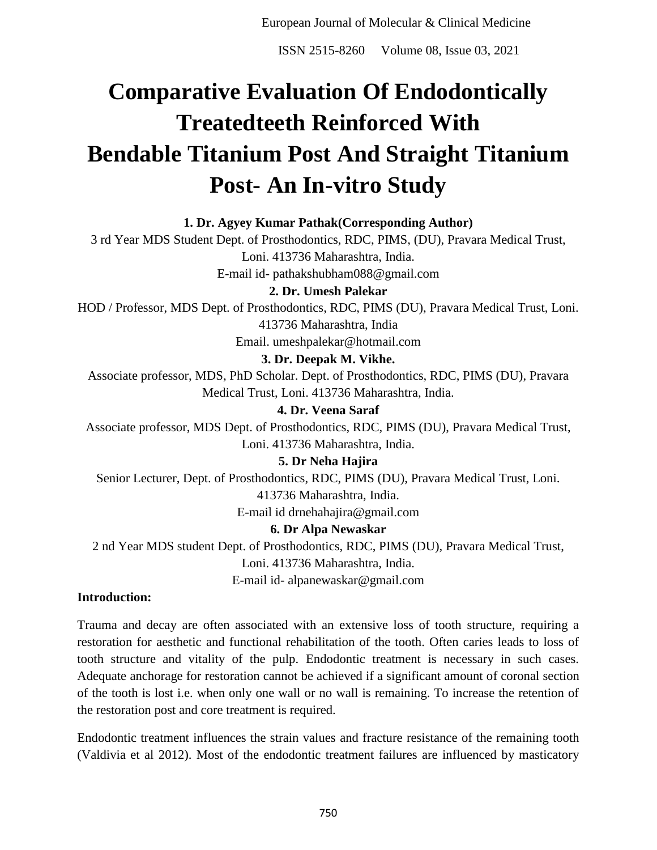ISSN 2515-8260 Volume 08, Issue 03, 2021

# **Comparative Evaluation Of Endodontically Treatedteeth Reinforced With Bendable Titanium Post And Straight Titanium Post- An In-vitro Study**

## **1. Dr. Agyey Kumar Pathak(Corresponding Author)**

3 rd Year MDS Student Dept. of Prosthodontics, RDC, PIMS, (DU), Pravara Medical Trust, Loni. 413736 Maharashtra, India. E-mail id- pathakshubham088@gmail.com

## **2. Dr. Umesh Palekar**

HOD / Professor, MDS Dept. of Prosthodontics, RDC, PIMS (DU), Pravara Medical Trust, Loni. 413736 Maharashtra, India

Email. umeshpalekar@hotmail.com

# **3. Dr. Deepak M. Vikhe.**

Associate professor, MDS, PhD Scholar. Dept. of Prosthodontics, RDC, PIMS (DU), Pravara Medical Trust, Loni. 413736 Maharashtra, India.

# **4. Dr. Veena Saraf**

Associate professor, MDS Dept. of Prosthodontics, RDC, PIMS (DU), Pravara Medical Trust, Loni. 413736 Maharashtra, India.

**5. Dr Neha Hajira**

Senior Lecturer, Dept. of Prosthodontics, RDC, PIMS (DU), Pravara Medical Trust, Loni. 413736 Maharashtra, India.

E-mail id drnehahajira@gmail.com

# **6. Dr Alpa Newaskar**

2 nd Year MDS student Dept. of Prosthodontics, RDC, PIMS (DU), Pravara Medical Trust, Loni. 413736 Maharashtra, India.

E-mail id- alpanewaskar@gmail.com

## **Introduction:**

Trauma and decay are often associated with an extensive loss of tooth structure, requiring a restoration for aesthetic and functional rehabilitation of the tooth. Often caries leads to loss of tooth structure and vitality of the pulp. Endodontic treatment is necessary in such cases. Adequate anchorage for restoration cannot be achieved if a significant amount of coronal section of the tooth is lost i.e. when only one wall or no wall is remaining. To increase the retention of the restoration post and core treatment is required.

Endodontic treatment influences the strain values and fracture resistance of the remaining tooth (Valdivia et al 2012). Most of the endodontic treatment failures are influenced by masticatory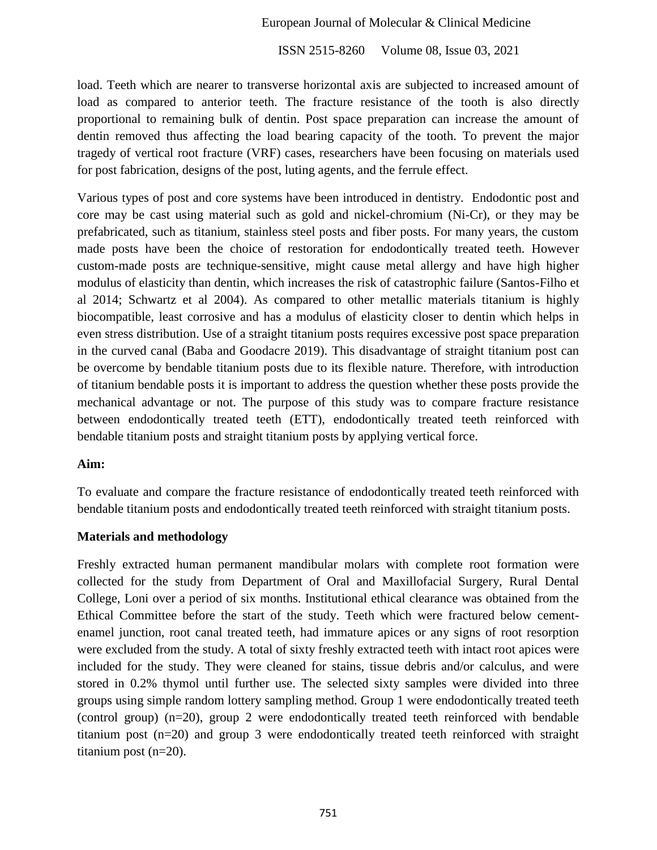ISSN 2515-8260 Volume 08, Issue 03, 2021

load. Teeth which are nearer to transverse horizontal axis are subjected to increased amount of load as compared to anterior teeth. The fracture resistance of the tooth is also directly proportional to remaining bulk of dentin. Post space preparation can increase the amount of dentin removed thus affecting the load bearing capacity of the tooth. To prevent the major tragedy of vertical root fracture (VRF) cases, researchers have been focusing on materials used for post fabrication, designs of the post, luting agents, and the ferrule effect.

Various types of post and core systems have been introduced in dentistry. Endodontic post and core may be cast using material such as gold and nickel-chromium (Ni-Cr), or they may be prefabricated, such as titanium, stainless steel posts and fiber posts. For many years, the custom made posts have been the choice of restoration for endodontically treated teeth. However custom-made posts are technique-sensitive, might cause metal allergy and have high higher modulus of elasticity than dentin, which increases the risk of catastrophic failure (Santos-Filho et al 2014; Schwartz et al 2004). As compared to other metallic materials titanium is highly biocompatible, least corrosive and has a modulus of elasticity closer to dentin which helps in even stress distribution. Use of a straight titanium posts requires excessive post space preparation in the curved canal (Baba and Goodacre 2019). This disadvantage of straight titanium post can be overcome by bendable titanium posts due to its flexible nature. Therefore, with introduction of titanium bendable posts it is important to address the question whether these posts provide the mechanical advantage or not. The purpose of this study was to compare fracture resistance between endodontically treated teeth (ETT), endodontically treated teeth reinforced with bendable titanium posts and straight titanium posts by applying vertical force.

#### **Aim:**

To evaluate and compare the fracture resistance of endodontically treated teeth reinforced with bendable titanium posts and endodontically treated teeth reinforced with straight titanium posts.

#### **Materials and methodology**

Freshly extracted human permanent mandibular molars with complete root formation were collected for the study from Department of Oral and Maxillofacial Surgery, Rural Dental College, Loni over a period of six months. Institutional ethical clearance was obtained from the Ethical Committee before the start of the study. Teeth which were fractured below cementenamel junction, root canal treated teeth, had immature apices or any signs of root resorption were excluded from the study. A total of sixty freshly extracted teeth with intact root apices were included for the study. They were cleaned for stains, tissue debris and/or calculus, and were stored in 0.2% thymol until further use. The selected sixty samples were divided into three groups using simple random lottery sampling method. Group 1 were endodontically treated teeth (control group) (n=20), group 2 were endodontically treated teeth reinforced with bendable titanium post (n=20) and group 3 were endodontically treated teeth reinforced with straight titanium post (n=20).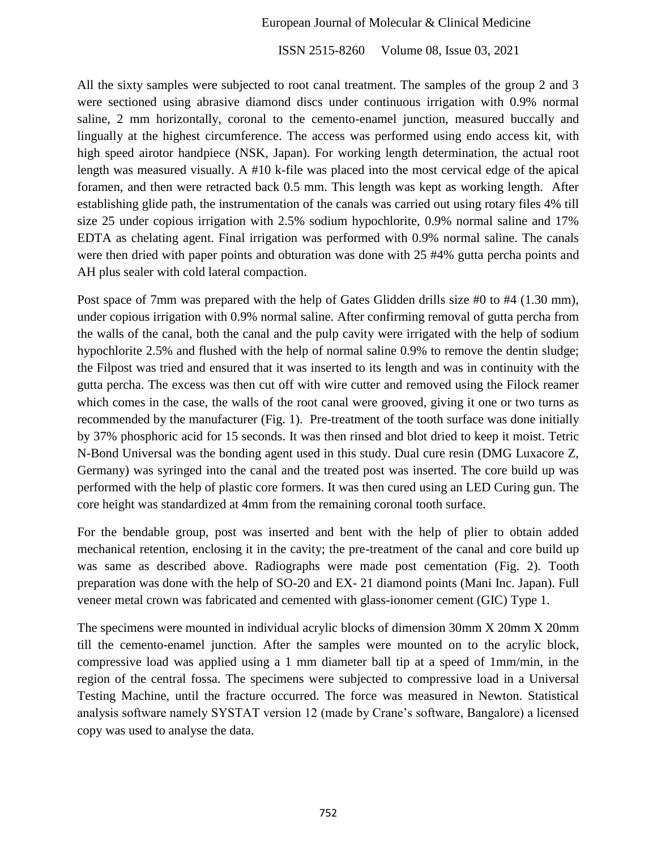ISSN 2515-8260 Volume 08, Issue 03, 2021

All the sixty samples were subjected to root canal treatment. The samples of the group 2 and 3 were sectioned using abrasive diamond discs under continuous irrigation with 0.9% normal saline, 2 mm horizontally, coronal to the cemento-enamel junction, measured buccally and lingually at the highest circumference. The access was performed using endo access kit, with high speed airotor handpiece (NSK, Japan). For working length determination, the actual root length was measured visually. A #10 k-file was placed into the most cervical edge of the apical foramen, and then were retracted back 0.5 mm. This length was kept as working length. After establishing glide path, the instrumentation of the canals was carried out using rotary files 4% till size 25 under copious irrigation with 2.5% sodium hypochlorite, 0.9% normal saline and 17% EDTA as chelating agent. Final irrigation was performed with 0.9% normal saline. The canals were then dried with paper points and obturation was done with 25 #4% gutta percha points and AH plus sealer with cold lateral compaction.

Post space of 7mm was prepared with the help of Gates Glidden drills size #0 to #4 (1.30 mm), under copious irrigation with 0.9% normal saline. After confirming removal of gutta percha from the walls of the canal, both the canal and the pulp cavity were irrigated with the help of sodium hypochlorite 2.5% and flushed with the help of normal saline 0.9% to remove the dentin sludge; the Filpost was tried and ensured that it was inserted to its length and was in continuity with the gutta percha. The excess was then cut off with wire cutter and removed using the Filock reamer which comes in the case, the walls of the root canal were grooved, giving it one or two turns as recommended by the manufacturer (Fig. 1). Pre-treatment of the tooth surface was done initially by 37% phosphoric acid for 15 seconds. It was then rinsed and blot dried to keep it moist. Tetric N-Bond Universal was the bonding agent used in this study. Dual cure resin (DMG Luxacore Z, Germany) was syringed into the canal and the treated post was inserted. The core build up was performed with the help of plastic core formers. It was then cured using an LED Curing gun. The core height was standardized at 4mm from the remaining coronal tooth surface.

For the bendable group, post was inserted and bent with the help of plier to obtain added mechanical retention, enclosing it in the cavity; the pre-treatment of the canal and core build up was same as described above. Radiographs were made post cementation (Fig. 2). Tooth preparation was done with the help of SO-20 and EX- 21 diamond points (Mani Inc. Japan). Full veneer metal crown was fabricated and cemented with glass-ionomer cement (GIC) Type 1.

The specimens were mounted in individual acrylic blocks of dimension 30mm X 20mm X 20mm till the cemento-enamel junction. After the samples were mounted on to the acrylic block, compressive load was applied using a 1 mm diameter ball tip at a speed of 1mm/min, in the region of the central fossa. The specimens were subjected to compressive load in a Universal Testing Machine, until the fracture occurred. The force was measured in Newton. Statistical analysis software namely SYSTAT version 12 (made by Crane's software, Bangalore) a licensed copy was used to analyse the data.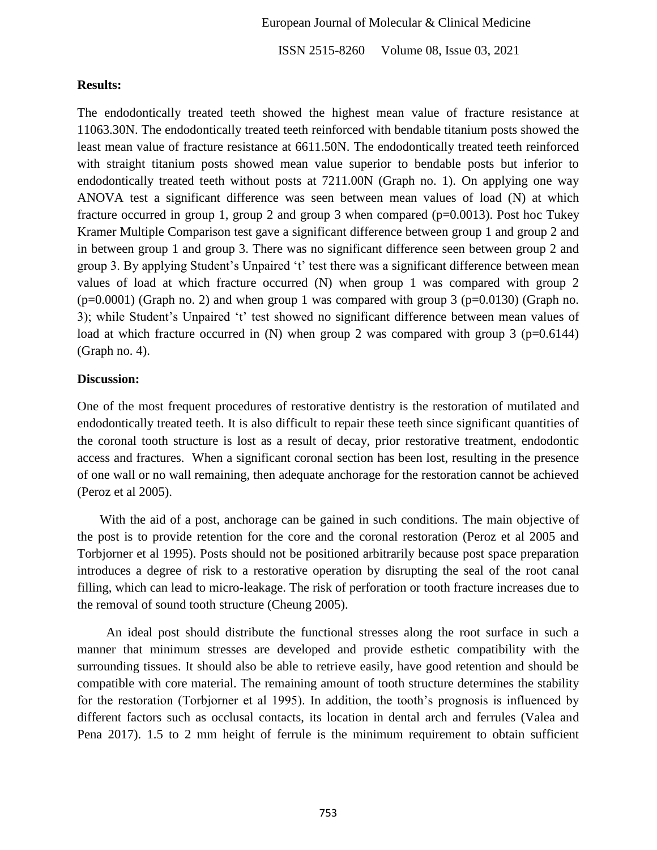ISSN 2515-8260 Volume 08, Issue 03, 2021

#### **Results:**

The endodontically treated teeth showed the highest mean value of fracture resistance at 11063.30N. The endodontically treated teeth reinforced with bendable titanium posts showed the least mean value of fracture resistance at 6611.50N. The endodontically treated teeth reinforced with straight titanium posts showed mean value superior to bendable posts but inferior to endodontically treated teeth without posts at 7211.00N (Graph no. 1). On applying one way ANOVA test a significant difference was seen between mean values of load (N) at which fracture occurred in group 1, group 2 and group 3 when compared (p=0.0013). Post hoc Tukey Kramer Multiple Comparison test gave a significant difference between group 1 and group 2 and in between group 1 and group 3. There was no significant difference seen between group 2 and group 3. By applying Student's Unpaired 't' test there was a significant difference between mean values of load at which fracture occurred (N) when group 1 was compared with group 2  $(p=0.0001)$  (Graph no. 2) and when group 1 was compared with group 3 (p=0.0130) (Graph no. 3); while Student's Unpaired 't' test showed no significant difference between mean values of load at which fracture occurred in  $(N)$  when group 2 was compared with group 3 (p=0.6144) (Graph no. 4).

#### **Discussion:**

One of the most frequent procedures of restorative dentistry is the restoration of mutilated and endodontically treated teeth. It is also difficult to repair these teeth since significant quantities of the coronal tooth structure is lost as a result of decay, prior restorative treatment, endodontic access and fractures. When a significant coronal section has been lost, resulting in the presence of one wall or no wall remaining, then adequate anchorage for the restoration cannot be achieved (Peroz et al 2005).

 With the aid of a post, anchorage can be gained in such conditions. The main objective of the post is to provide retention for the core and the coronal restoration (Peroz et al 2005 and Torbjorner et al 1995). Posts should not be positioned arbitrarily because post space preparation introduces a degree of risk to a restorative operation by disrupting the seal of the root canal filling, which can lead to micro-leakage. The risk of perforation or tooth fracture increases due to the removal of sound tooth structure (Cheung 2005).

 An ideal post should distribute the functional stresses along the root surface in such a manner that minimum stresses are developed and provide esthetic compatibility with the surrounding tissues. It should also be able to retrieve easily, have good retention and should be compatible with core material. The remaining amount of tooth structure determines the stability for the restoration (Torbjorner et al 1995). In addition, the tooth's prognosis is influenced by different factors such as occlusal contacts, its location in dental arch and ferrules (Valea and Pena 2017). 1.5 to 2 mm height of ferrule is the minimum requirement to obtain sufficient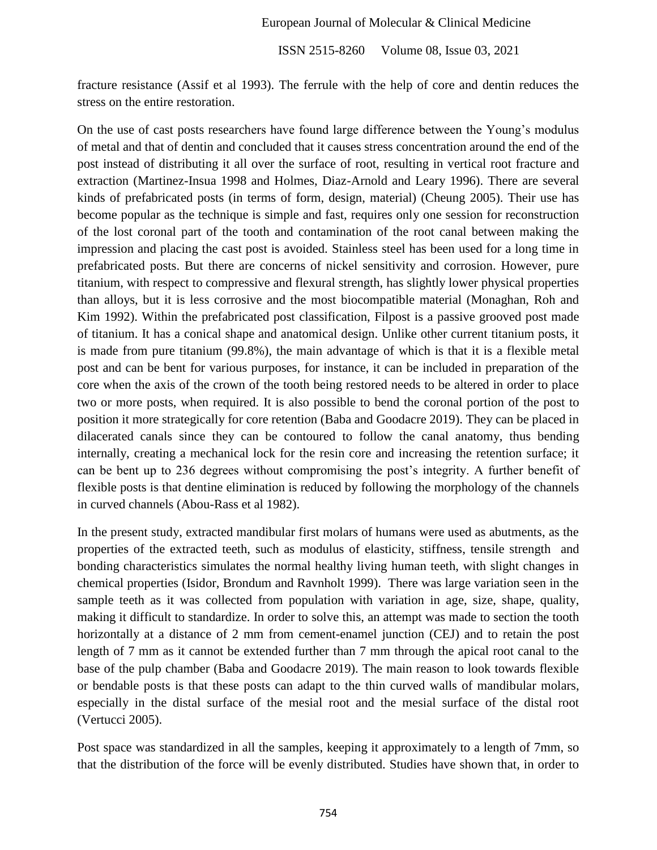ISSN 2515-8260 Volume 08, Issue 03, 2021

fracture resistance (Assif et al 1993). The ferrule with the help of core and dentin reduces the stress on the entire restoration.

On the use of cast posts researchers have found large difference between the Young's modulus of metal and that of dentin and concluded that it causes stress concentration around the end of the post instead of distributing it all over the surface of root, resulting in vertical root fracture and extraction (Martinez-Insua 1998 and Holmes, Diaz-Arnold and Leary 1996). There are several kinds of prefabricated posts (in terms of form, design, material) (Cheung 2005). Their use has become popular as the technique is simple and fast, requires only one session for reconstruction of the lost coronal part of the tooth and contamination of the root canal between making the impression and placing the cast post is avoided. Stainless steel has been used for a long time in prefabricated posts. But there are concerns of nickel sensitivity and corrosion. However, pure titanium, with respect to compressive and flexural strength, has slightly lower physical properties than alloys, but it is less corrosive and the most biocompatible material (Monaghan, Roh and Kim 1992). Within the prefabricated post classification, Filpost is a passive grooved post made of titanium. It has a conical shape and anatomical design. Unlike other current titanium posts, it is made from pure titanium (99.8%), the main advantage of which is that it is a flexible metal post and can be bent for various purposes, for instance, it can be included in preparation of the core when the axis of the crown of the tooth being restored needs to be altered in order to place two or more posts, when required. It is also possible to bend the coronal portion of the post to position it more strategically for core retention (Baba and Goodacre 2019). They can be placed in dilacerated canals since they can be contoured to follow the canal anatomy, thus bending internally, creating a mechanical lock for the resin core and increasing the retention surface; it can be bent up to 236 degrees without compromising the post's integrity. A further benefit of flexible posts is that dentine elimination is reduced by following the morphology of the channels in curved channels (Abou-Rass et al 1982).

In the present study, extracted mandibular first molars of humans were used as abutments, as the properties of the extracted teeth, such as modulus of elasticity, stiffness, tensile strength and bonding characteristics simulates the normal healthy living human teeth, with slight changes in chemical properties (Isidor, Brondum and Ravnholt 1999). There was large variation seen in the sample teeth as it was collected from population with variation in age, size, shape, quality, making it difficult to standardize. In order to solve this, an attempt was made to section the tooth horizontally at a distance of 2 mm from cement-enamel junction (CEJ) and to retain the post length of 7 mm as it cannot be extended further than 7 mm through the apical root canal to the base of the pulp chamber (Baba and Goodacre 2019). The main reason to look towards flexible or bendable posts is that these posts can adapt to the thin curved walls of mandibular molars, especially in the distal surface of the mesial root and the mesial surface of the distal root (Vertucci 2005).

Post space was standardized in all the samples, keeping it approximately to a length of 7mm, so that the distribution of the force will be evenly distributed. Studies have shown that, in order to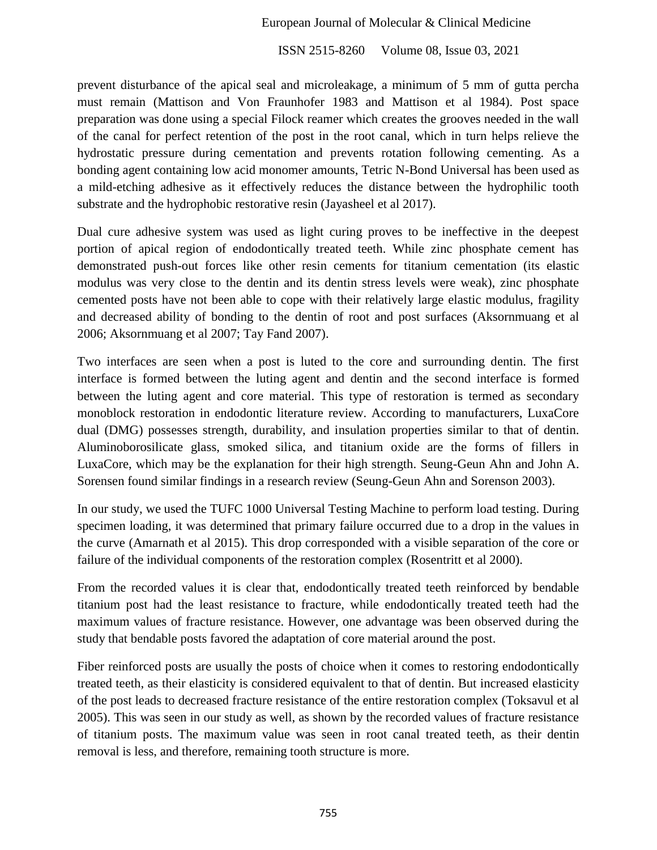ISSN 2515-8260 Volume 08, Issue 03, 2021

prevent disturbance of the apical seal and microleakage, a minimum of 5 mm of gutta percha must remain (Mattison and Von Fraunhofer 1983 and Mattison et al 1984). Post space preparation was done using a special Filock reamer which creates the grooves needed in the wall of the canal for perfect retention of the post in the root canal, which in turn helps relieve the hydrostatic pressure during cementation and prevents rotation following cementing. As a bonding agent containing low acid monomer amounts, Tetric N-Bond Universal has been used as a mild-etching adhesive as it effectively reduces the distance between the hydrophilic tooth substrate and the hydrophobic restorative resin (Jayasheel et al 2017).

Dual cure adhesive system was used as light curing proves to be ineffective in the deepest portion of apical region of endodontically treated teeth. While zinc phosphate cement has demonstrated push-out forces like other resin cements for titanium cementation (its elastic modulus was very close to the dentin and its dentin stress levels were weak), zinc phosphate cemented posts have not been able to cope with their relatively large elastic modulus, fragility and decreased ability of bonding to the dentin of root and post surfaces (Aksornmuang et al 2006; Aksornmuang et al 2007; Tay Fand 2007).

Two interfaces are seen when a post is luted to the core and surrounding dentin. The first interface is formed between the luting agent and dentin and the second interface is formed between the luting agent and core material. This type of restoration is termed as secondary monoblock restoration in endodontic literature review. According to manufacturers, LuxaCore dual (DMG) possesses strength, durability, and insulation properties similar to that of dentin. Aluminoborosilicate glass, smoked silica, and titanium oxide are the forms of fillers in LuxaCore, which may be the explanation for their high strength. Seung-Geun Ahn and John A. Sorensen found similar findings in a research review (Seung-Geun Ahn and Sorenson 2003).

In our study, we used the TUFC 1000 Universal Testing Machine to perform load testing. During specimen loading, it was determined that primary failure occurred due to a drop in the values in the curve (Amarnath et al 2015). This drop corresponded with a visible separation of the core or failure of the individual components of the restoration complex (Rosentritt et al 2000).

From the recorded values it is clear that, endodontically treated teeth reinforced by bendable titanium post had the least resistance to fracture, while endodontically treated teeth had the maximum values of fracture resistance. However, one advantage was been observed during the study that bendable posts favored the adaptation of core material around the post.

Fiber reinforced posts are usually the posts of choice when it comes to restoring endodontically treated teeth, as their elasticity is considered equivalent to that of dentin. But increased elasticity of the post leads to decreased fracture resistance of the entire restoration complex (Toksavul et al 2005). This was seen in our study as well, as shown by the recorded values of fracture resistance of titanium posts. The maximum value was seen in root canal treated teeth, as their dentin removal is less, and therefore, remaining tooth structure is more.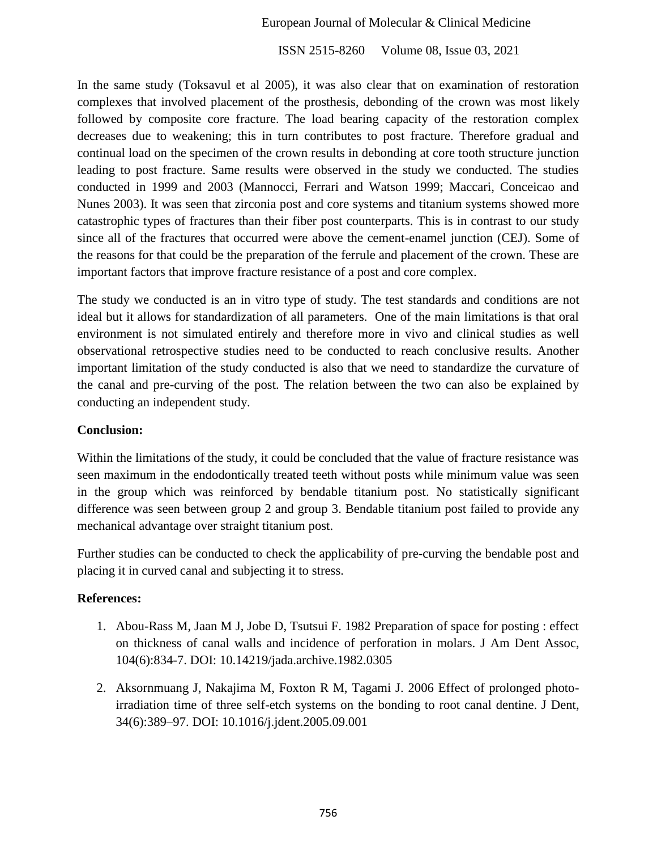ISSN 2515-8260 Volume 08, Issue 03, 2021

In the same study (Toksavul et al 2005), it was also clear that on examination of restoration complexes that involved placement of the prosthesis, debonding of the crown was most likely followed by composite core fracture. The load bearing capacity of the restoration complex decreases due to weakening; this in turn contributes to post fracture. Therefore gradual and continual load on the specimen of the crown results in debonding at core tooth structure junction leading to post fracture. Same results were observed in the study we conducted. The studies conducted in 1999 and 2003 (Mannocci, Ferrari and Watson 1999; Maccari, Conceicao and Nunes 2003). It was seen that zirconia post and core systems and titanium systems showed more catastrophic types of fractures than their fiber post counterparts. This is in contrast to our study since all of the fractures that occurred were above the cement-enamel junction (CEJ). Some of the reasons for that could be the preparation of the ferrule and placement of the crown. These are important factors that improve fracture resistance of a post and core complex.

The study we conducted is an in vitro type of study. The test standards and conditions are not ideal but it allows for standardization of all parameters. One of the main limitations is that oral environment is not simulated entirely and therefore more in vivo and clinical studies as well observational retrospective studies need to be conducted to reach conclusive results. Another important limitation of the study conducted is also that we need to standardize the curvature of the canal and pre-curving of the post. The relation between the two can also be explained by conducting an independent study.

## **Conclusion:**

Within the limitations of the study, it could be concluded that the value of fracture resistance was seen maximum in the endodontically treated teeth without posts while minimum value was seen in the group which was reinforced by bendable titanium post. No statistically significant difference was seen between group 2 and group 3. Bendable titanium post failed to provide any mechanical advantage over straight titanium post.

Further studies can be conducted to check the applicability of pre-curving the bendable post and placing it in curved canal and subjecting it to stress.

# **References:**

- 1. Abou-Rass M, Jaan M J, Jobe D, Tsutsui F. 1982 Preparation of space for posting : effect on thickness of canal walls and incidence of perforation in molars. J Am Dent Assoc, 104(6):834-7. DOI: 10.14219/jada.archive.1982.0305
- 2. Aksornmuang J, Nakajima M, Foxton R M, Tagami J. 2006 Effect of prolonged photoirradiation time of three self-etch systems on the bonding to root canal dentine. J Dent, 34(6):389–97. DOI: 10.1016/j.jdent.2005.09.001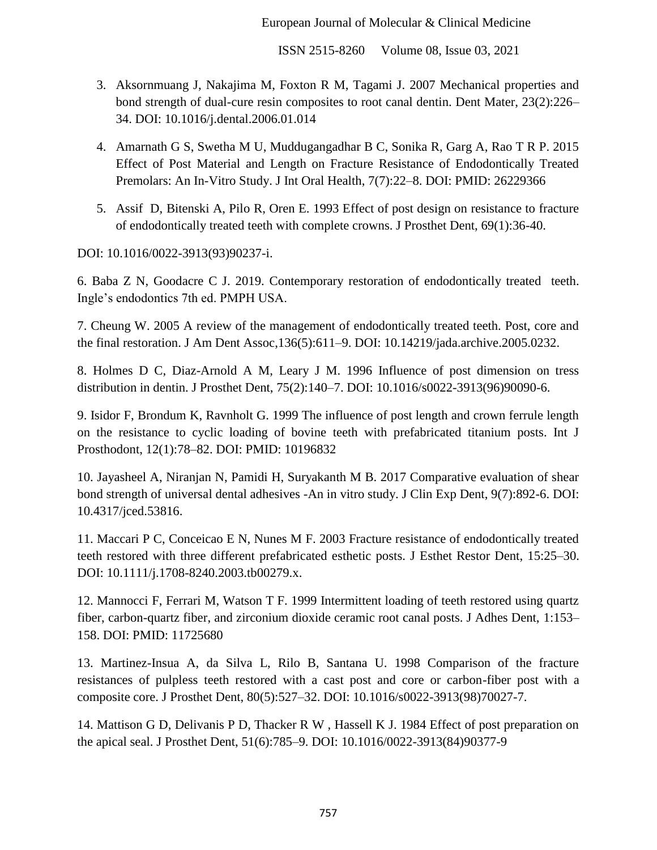ISSN 2515-8260 Volume 08, Issue 03, 2021

- 3. Aksornmuang J, Nakajima M, Foxton R M, Tagami J. 2007 Mechanical properties and bond strength of dual-cure resin composites to root canal dentin. Dent Mater, 23(2):226– 34. DOI: 10.1016/j.dental.2006.01.014
- 4. Amarnath G S, Swetha M U, Muddugangadhar B C, Sonika R, Garg A, Rao T R P. 2015 Effect of Post Material and Length on Fracture Resistance of Endodontically Treated Premolars: An In-Vitro Study. J Int Oral Health, 7(7):22–8. DOI: PMID: 26229366
- 5. Assif D, Bitenski A, Pilo R, Oren E. 1993 Effect of post design on resistance to fracture of endodontically treated teeth with complete crowns. J Prosthet Dent, 69(1):36-40.

DOI: 10.1016/0022-3913(93)90237-i.

6. Baba Z N, Goodacre C J. 2019. Contemporary restoration of endodontically treated teeth. Ingle's endodontics 7th ed. PMPH USA.

7. Cheung W. 2005 A review of the management of endodontically treated teeth. Post, core and the final restoration. J Am Dent Assoc,136(5):611–9. DOI: 10.14219/jada.archive.2005.0232.

8. Holmes D C, Diaz-Arnold A M, Leary J M. 1996 Influence of post dimension on tress distribution in dentin. J Prosthet Dent, 75(2):140–7. DOI: 10.1016/s0022-3913(96)90090-6.

9. Isidor F, Brondum K, Ravnholt G. 1999 The influence of post length and crown ferrule length on the resistance to cyclic loading of bovine teeth with prefabricated titanium posts. Int J Prosthodont, 12(1):78–82. DOI: PMID: 10196832

10. Jayasheel A, Niranjan N, Pamidi H, Suryakanth M B. 2017 Comparative evaluation of shear bond strength of universal dental adhesives -An in vitro study. J Clin Exp Dent, 9(7):892-6. DOI: 10.4317/jced.53816.

11. Maccari P C, Conceicao E N, Nunes M F. 2003 Fracture resistance of endodontically treated teeth restored with three different prefabricated esthetic posts. J Esthet Restor Dent, 15:25–30. DOI: 10.1111/j.1708-8240.2003.tb00279.x.

12. Mannocci F, Ferrari M, Watson T F. 1999 Intermittent loading of teeth restored using quartz fiber, carbon-quartz fiber, and zirconium dioxide ceramic root canal posts. J Adhes Dent, 1:153– 158. DOI: PMID: 11725680

13. Martinez-Insua A, da Silva L, Rilo B, Santana U. 1998 Comparison of the fracture resistances of pulpless teeth restored with a cast post and core or carbon-fiber post with a composite core. J Prosthet Dent, 80(5):527–32. DOI: 10.1016/s0022-3913(98)70027-7.

14. Mattison G D, Delivanis P D, Thacker R W , Hassell K J. 1984 Effect of post preparation on the apical seal. J Prosthet Dent, 51(6):785–9. DOI: 10.1016/0022-3913(84)90377-9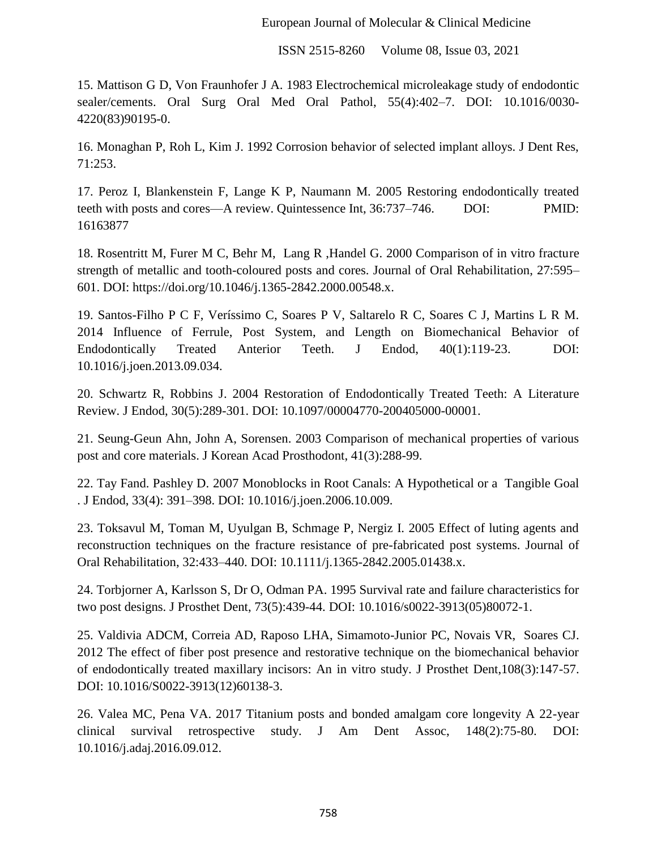ISSN 2515-8260 Volume 08, Issue 03, 2021

15. Mattison G D, Von Fraunhofer J A. 1983 Electrochemical microleakage study of endodontic sealer/cements. Oral Surg Oral Med Oral Pathol, 55(4):402–7. DOI: 10.1016/0030- 4220(83)90195-0.

16. Monaghan P, Roh L, Kim J. 1992 Corrosion behavior of selected implant alloys. J Dent Res, 71:253.

17. Peroz I, Blankenstein F, Lange K P, Naumann M. 2005 Restoring endodontically treated teeth with posts and cores—A review. Quintessence Int, 36:737–746. DOI: PMID: 16163877

18. Rosentritt M, Furer M C, Behr M, Lang R ,Handel G. 2000 Comparison of in vitro fracture strength of metallic and tooth-coloured posts and cores. Journal of Oral Rehabilitation, 27:595– 601. DOI: https://doi.org/10.1046/j.1365-2842.2000.00548.x.

19. Santos-Filho P C F, Veríssimo C, Soares P V, Saltarelo R C, Soares C J, Martins L R M. 2014 Influence of Ferrule, Post System, and Length on Biomechanical Behavior of Endodontically Treated Anterior Teeth. J Endod, 40(1):119-23. DOI: 10.1016/j.joen.2013.09.034.

20. Schwartz R, Robbins J. 2004 Restoration of Endodontically Treated Teeth: A Literature Review. J Endod, 30(5):289-301. DOI: 10.1097/00004770-200405000-00001.

21. Seung-Geun Ahn, John A, Sorensen. 2003 Comparison of mechanical properties of various post and core materials. J Korean Acad Prosthodont, 41(3):288-99.

22. Tay Fand. Pashley D. 2007 Monoblocks in Root Canals: A Hypothetical or a Tangible Goal . J Endod, 33(4): 391–398. DOI: 10.1016/j.joen.2006.10.009.

23. Toksavul M, Toman M, Uyulgan B, Schmage P, Nergiz I. 2005 Effect of luting agents and reconstruction techniques on the fracture resistance of pre-fabricated post systems. Journal of Oral Rehabilitation, 32:433–440. DOI: 10.1111/j.1365-2842.2005.01438.x.

24. Torbjorner A, Karlsson S, Dr O, Odman PA. 1995 Survival rate and failure characteristics for two post designs. J Prosthet Dent, 73(5):439-44. DOI: 10.1016/s0022-3913(05)80072-1.

25. Valdivia ADCM, Correia AD, Raposo LHA, Simamoto-Junior PC, Novais VR, Soares CJ. 2012 The effect of fiber post presence and restorative technique on the biomechanical behavior of endodontically treated maxillary incisors: An in vitro study. J Prosthet Dent,108(3):147-57. DOI: 10.1016/S0022-3913(12)60138-3.

26. Valea MC, Pena VA. 2017 Titanium posts and bonded amalgam core longevity A 22-year clinical survival retrospective study. J Am Dent Assoc, 148(2):75-80. DOI: 10.1016/j.adaj.2016.09.012.